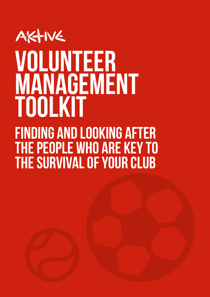### AKTIVE volunteer management ToolkiT

Finding and looking after the people who are key to the survival of your club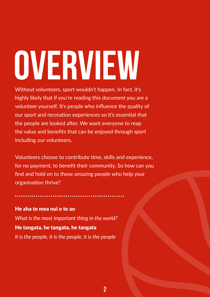# <span id="page-1-0"></span>OVERVIEW

Without volunteers, sport wouldn't happen. In fact, it's highly likely that if you're reading this document you are a volunteer yourself. It's people who influence the quality of our sport and recreation experiences so it's essential that the people are looked after. We want everyone to reap the value and benefits that can be enjoyed through sport including our volunteers.

Volunteers choose to contribute time, skills and experience, for no payment, to benefit their community. So how can you find and hold on to these amazing people who help your organisation thrive?

He aha te mea nui o te ao *What is the most important thing in the world?* He tangata, he tangata, he tangata *It is the people, it is the people, it is the people*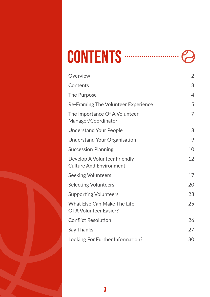| CONTENTS | . |  |
|----------|---|--|
|----------|---|--|

| Overview                                                            | $\overline{2}$ |
|---------------------------------------------------------------------|----------------|
| Contents                                                            | 3              |
| <b>The Purpose</b>                                                  | $\overline{4}$ |
| <b>Re-Framing The Volunteer Experience</b>                          | 5              |
| The Importance Of A Volunteer<br>Manager/Coordinator                | 7              |
| <b>Understand Your People</b>                                       | 8              |
| <b>Understand Your Organisation</b>                                 | 9              |
| <b>Succession Planning</b>                                          | 10             |
| Develop A Volunteer Friendly<br><b>Culture And Environment</b>      | 12             |
| <b>Seeking Volunteers</b>                                           | 17             |
| <b>Selecting Volunteers</b>                                         | 20             |
| <b>Supporting Volunteers</b>                                        | 23             |
| <b>What Else Can Make The Life</b><br><b>Of A Volunteer Easier?</b> | 25             |
| <b>Conflict Resolution</b>                                          | 26             |
| <b>Say Thanks!</b>                                                  |                |
| Looking For Further Information?                                    |                |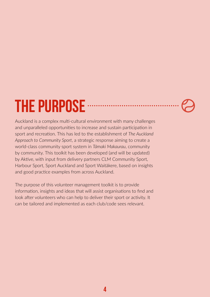### <span id="page-3-0"></span>THE PURPOSE

Auckland is a complex multi-cultural environment with many challenges and unparalleled opportunities to increase and sustain participation in sport and recreation. This has led to the establishment of *The Auckland Approach to Community Sport*, a strategic response aiming to create a world-class community sport system in *Tāmaki Makaurau*, community by community. This toolkit has been developed (and will be updated) by Aktive, with input from delivery partners CLM Community Sport, Harbour Sport, Sport Auckland and Sport Waitākere, based on insights and good practice examples from across Auckland.

The purpose of this volunteer management toolkit is to provide information, insights and ideas that will assist organisations to find and look after volunteers who can help to deliver their sport or activity. It can be tailored and implemented as each club/code sees relevant.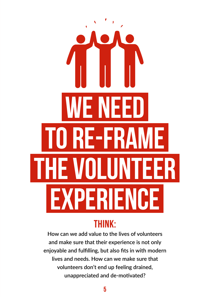# <span id="page-4-0"></span>WE NEED TO RE-FRAME THE VOLUNTEER **EXPERIENCE**

### THINK:

**How can we add value to the lives of volunteers and make sure that their experience is not only enjoyable and fulfilling, but also fits in with modern lives and needs. How can we make sure that volunteers don't end up feeling drained, unappreciated and de-motivated?**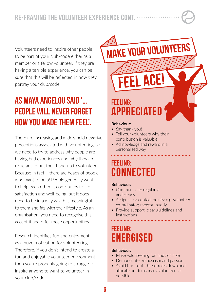Volunteers need to inspire other people to be part of your club/code either as a member or a fellow volunteer. If they are having a terrible experience, you can be sure that this will be reflected in how they portray your club/code.

### AS MAYA ANGELOU SAID '… PEOPLE WILL NEVER FORGET HOW YOU MADE THEM FEEL'.

There are increasing and widely held negative perceptions associated with volunteering, so we need to try to address why people are having bad experiences and why they are reluctant to put their hand up to volunteer. Because in fact – there are heaps of people who want to help! People generally want to help each other. It contributes to life satisfaction and well-being, but it does need to be in a way which is meaningful to them and fits with their lifestyle. As an organisation, you need to recognise this, accept it and offer those opportunities.

Research identifies fun and enjoyment as a huge motivation for volunteering. Therefore, if you don't intend to create a fun and enjoyable volunteer environment then you're probably going to struggle to inspire anyone to want to volunteer in your club/code.

FEELING: APPRECIATED

feel ace!

Make your volunteers

#### **Behaviour:**

- Say thank you!
- Tell your volunteers why their contribution is valuable
- Acknowledge and reward in a personalised way

### FEELING: **CONNECTED**

#### **Behaviour:**

- Communicate: regularly and clearly
- Assign clear contact points: e.g. volunteer co-ordinator; mentor; buddy
- Provide support: clear guidelines and instructions

### FEELING: ENERGISED

#### **Behaviour:**

- Make volunteering fun and sociable
- Demonstrate enthusiasm and passion
- Avoid burn-out break roles down and allocate out to as many volunteers as possible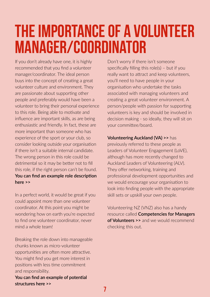### <span id="page-6-0"></span>The Importance of a Volunteer Manager/Coordinator

If you don't already have one, it is highly recommended that you find a volunteer manager/coordinator. The ideal person buys into the concept of creating a great volunteer culture and environment. They are passionate about supporting other people and preferably would have been a volunteer to bring their personal experience to this role. Being able to motivate and influence are important skills, as are being enthusiastic and friendly. In fact, these are more important than someone who has experience of the sport or your club, so consider looking outside your organisation if there isn't a suitable internal candidate. The wrong person in this role could be detrimental so it may be better not to fill this role, if the right person can't be found. **[You can find an example role description](https://aktive.org.nz/sector-development/managing-your-organisation/volunteer-management/)  [here >>](https://aktive.org.nz/sector-development/managing-your-organisation/volunteer-management/)**

In a perfect world, it would be great if you could appoint more than one volunteer coordinator. At this point you might be wondering how on earth you're expected to find one volunteer coordinator, never mind a whole team!

Breaking the role down into manageable chunks known as micro-volunteer opportunities are often more attractive. You might find you get more interest in positions with less time commitment and responsibility.

**[You can find an example of potential](https://aktive.org.nz/sector-development/managing-your-organisation/volunteer-management/)  [structures here >>](https://aktive.org.nz/sector-development/managing-your-organisation/volunteer-management/)**

Don't worry if there isn't someone specifically filling this role(s) – but if you really want to attract and keep volunteers, you'll need to have people in your organisation who undertake the tasks associated with managing volunteers and creating a great volunteer environment. A person/people with passion for supporting volunteers is key and should be involved in decision making - so ideally, they will sit on your committee/board.

**[Volunteering Auckland \(VA\) >>](https://volunteeringauckland.org.nz/news/ngos-what-you-wanted-to-know)** has previously referred to these people as Leaders of Volunteer Engagement (LoVE), although has more recently changed to Auckland Leaders of Volunteering (ALV). They offer networking, training and professional development opportunities and we would encourage your organisation to look into finding people with the appropriate skill sets or upskill your own people.

Volunteering NZ (VNZ) also has a handy resource called **[Competencies for Managers](https://www.volunteeringnz.org.nz/wp-content/uploads/2013-05-VNZ-Competencies-FINAL_web.pdf)  [of Volunteers >>](https://www.volunteeringnz.org.nz/wp-content/uploads/2013-05-VNZ-Competencies-FINAL_web.pdf)** and we would recommend checking this out.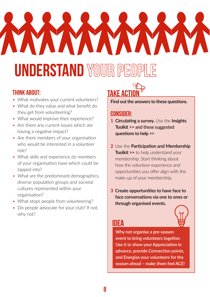## <span id="page-7-0"></span>VAXAVAVAVAVA **UNDERSTAND WOUR PE**

### THINK ABOUT:

- What motivates your current volunteers?
- What do they value and what benefit do they get from volunteering?
- What would improve their experience?
- Are there any current issues which are having a negative impact?
- Are there members of your organisation who would be interested in a volunteer role?
- What skills and experience do members of your organisation have which could be tapped into?
- What are the predominant demographics, diverse population groups and societal cultures represented within your organisation?
- What stops people from volunteering?
- Do people advocate for your club? If not, why not?



**Find out the answers to these questions.** 

### CONSIDER:

- 1 **Circulating a survey.** Use the **[Insights](https://aktive.org.nz/sector-development/managing-your-organisation/participation-and-membership/)  [Toolkit >>](https://aktive.org.nz/sector-development/managing-your-organisation/participation-and-membership/)** and these suggested **[questions to help](https://aktive.org.nz/sector-development/managing-your-organisation/volunteer-management/) >>**
- 2 Use the **[Participation and Membership](https://aktive.org.nz/sector-development/managing-your-organisation/participation-and-membership/)  [Toolkit](https://aktive.org.nz/sector-development/managing-your-organisation/participation-and-membership/) >>** to help understand your membership. Start thinking about how the volunteer experience and opportunities you offer align with the make-up of your membership.
- 3 **Create opportunities to have face to face conversations via one to ones or through organised events.**



### IDEA

**Why not organise a pre-season event to bring volunteers together. Use it to show your Appreciation in advance, provide Connection points, and Energise your volunteers for the season ahead – make them feel ACE!**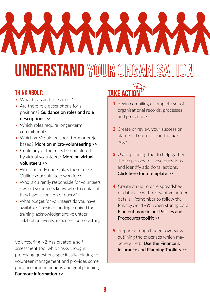### <span id="page-8-0"></span>VAXAVAVAV **VA UNDERSTAND WOULR ORGANISATION**

### THINK ABOUT:

- What tasks and roles exist?
- Are there role descriptions for all positions? **G[uidance on roles and role](https://aktive.org.nz/sector-development/managing-your-organisation/volunteer-management/)  [descriptions](https://aktive.org.nz/sector-development/managing-your-organisation/volunteer-management/) >>**
- Which roles require longer-term commitment?
- Which are/could be short term or project based? **[More on micro-volunteering](https://aktive.org.nz/sector-development/managing-your-organisation/volunteer-management/) >>**
- Could any of the roles be completed by virtual volunteers? **[More on virtual](https://aktive.org.nz/sector-development/managing-your-organisation/volunteer-management/)  [volunteers >>](https://aktive.org.nz/sector-development/managing-your-organisation/volunteer-management/)**
- Who currently undertakes these roles? Outline your volunteer workforce.
- Who is currently responsible for volunteers - would volunteers know who to contact if they have a concern or query?
- What budget for volunteers do you have available? Consider funding required for training; acknowledgment; volunteer celebration events; expenses; police vetting.

Volunteering NZ has created a selfassessment tool which asks thought provoking questions specifically relating to volunteer management and provides some guidance around actions and goal planning. **[For more information >>](https://www.volunteeringnz.org.nz/resources/best-practice-toolkit/)**



- 1 Begin compiling a complete set of organisational records, processes and procedures.
- 2 Create or review your succession plan. Find out more on the next page.
- **3** Use a planning tool to help gather the responses to these questions and identify additional actions. **[Click here for a template >>](https://aktive.org.nz/sector-development/managing-your-organisation/volunteer-management/)**
- 4 Create an up to date spreadsheet or database with relevant volunteer details. Remember to follow the Privacy Act 1993 when storing data. [Find out more in our Policies and](https://aktive.org.nz/sector-development/managing-your-organisation/policies-and-procedures/)  [Procedures toolkit >>](https://aktive.org.nz/sector-development/managing-your-organisation/policies-and-procedures/)
- **5** Prepare a rough budget overview outlining the expenses which may be required. **[Use the Finance &](https://aktive.org.nz/sector-development/managing-your-organisation/finance-and-insurance/)  Insurance** and **[Planning Toolkits](https://aktive.org.nz/sector-development/managing-your-organisation/finance-and-insurance/) >>**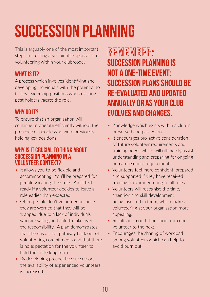### <span id="page-9-0"></span>SUCCESSION PLANNING

This is arguably one of the most important steps in creating a sustainable approach to volunteering within your club/code.

### WHAT IS IT?

A process which involves identifying and developing individuals with the potential to fill key leadership positions when existing post holders vacate the role.

### WHY DO IT?

To ensure that an organisation will continue to operate efficiently without the presence of people who were previously holding key positions.

#### WHY IS IT CRUCIAL TO THINK ABOUT SUCCESSION PLANNING IN A VOLUNTEER CONTEXT?

- It allows you to be flexible and accommodating. You'll be prepared for people vacating their role. You'll feel ready if a volunteer decides to leave a role earlier than expected.
- Often people don't volunteer because they are worried that they will be 'trapped' due to a lack of individuals who are willing and able to take over the responsibility. A plan demonstrates that there is a clear pathway back out of volunteering commitments and that there is no expectation for the volunteer to hold their role long term.
- By developing prospective successors, the availability of experienced volunteers is increased.

### REMEMBER: SUCCESSION PLANNING IS NOT A ONE-TIME EVENT; SUCCESSION PLANS SHOULD BE RE-EVALUATED AND UPDATED ANNUALLY OR AS YOUR CLUB EVOLVES AND CHANGES.

- Knowledge which exists within a club is preserved and passed on.
- It encourages pro-active consideration of future volunteer requirements and training needs which will ultimately assist understanding and preparing for ongoing human resource requirements.
- Volunteers feel more confident, prepared and supported if they have received training and/or mentoring to fill roles.
- Volunteers will recognise the time, attention and skill development being invested in them, which makes volunteering at your organisation more appealing.
- Results in smooth transition from one volunteer to the next.
- Encourages the sharing of workload among volunteers which can help to avoid burn out.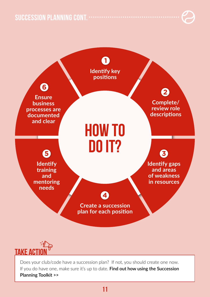succession planning cont.





Does your club/code have a succession plan? If not, you should create one now. If you do have one, make sure it's up to date. **Find out how using the Succession Planning Toolki[t >>](https://aktive.org.nz/sector-development/managing-your-organisation/volunteer-management/)**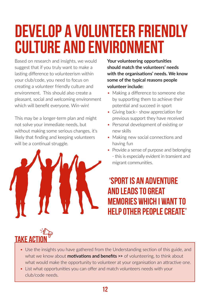### <span id="page-11-0"></span>Develop a volunteer friendly culture and environment

Based on research and insights, we would suggest that if you truly want to make a lasting difference to volunteerism within your club/code, you need to focus on creating a volunteer friendly culture and environment. This should also create a pleasant, social and welcoming environment which will benefit everyone. Win-win!

This may be a longer-term plan and might not solve your immediate needs, but without making some serious changes, it's likely that finding and keeping volunteers will be a continual struggle.



**Your volunteering opportunities should match the volunteers' needs with the organisations' needs. We know some of the typical reasons people volunteer include:**

- Making a difference to someone else by supporting them to achieve their potential and succeed in sport
- Giving back– show appreciation for previous support they have received
- Personal development of existing or new skills
- Making new social connections and having fun
- Provide a sense of purpose and belonging - this is especially evident in transient and migrant communities.

### 'SPORT IS AN ADVENTURE AND LEADS TO GREAT MEMORIES WHICH I WANT TO HELP OTHER PEOPLE CREATE'

### **TAKE ACT**

- Use the insights you have gathered from the Understanding section of this guide, and what we know about **[motivations and benefits](https://aktive.org.nz/sector-development/managing-your-organisation/volunteer-management/) >>** of volunteering, to think about what would make the opportunity to volunteer at your organisation an attractive one.
- List what opportunities you can offer and match volunteers needs with your club/code needs.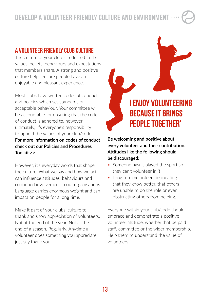### A VOLUNTEER FRIENDLY CLUB CULTURE

The culture of your club is reflected in the values, beliefs, behaviours and expectations that members share. A strong and positive culture helps ensure people have an enjoyable and pleasant experience.

Most clubs have written codes of conduct and policies which set standards of acceptable behaviour. Your committee will be accountable for ensuring that the code of conduct is adhered to, however ultimately, it's everyone's responsibility to uphold the values of your club/code. **[For more information on codes of conduct](https://aktive.org.nz/sector-development/managing-your-organisation/policies-and-procedures/)  [check out our Policies and Procedures](https://aktive.org.nz/sector-development/managing-your-organisation/policies-and-procedures/)  [Toolkit >>](https://aktive.org.nz/sector-development/managing-your-organisation/policies-and-procedures/)**

However, it's everyday words that shape the culture. What we say and how we act can influence attitudes, behaviours and continued involvement in our organisations. Language carries enormous weight and can impact on people for a long time.

Make it part of your clubs' culture to thank and show appreciation of volunteers. Not at the end of the year. Not at the end of a season. Regularly. Anytime a volunteer does something you appreciate just say thank you.



**Be welcoming and positive about every volunteer and their contribution. Attitudes like the following should be discouraged:**

- Someone hasn't played the sport so they can't volunteer in it
- Long term volunteers insinuating that they know better, that others are unable to do the role or even obstructing others from helping.

Everyone within your club/code should embrace and demonstrate a positive volunteer attitude, whether that be paid staff, committee or the wider membership. Help them to understand the value of volunteers.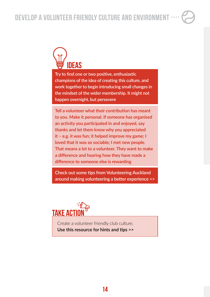

**Try to find one or two positive, enthusiastic champions of the idea of creating this culture, and work together to begin introducing small changes in the mindset of the wider membership. It might not happen overnight, but persevere**

**Tell a volunteer what their contribution has meant to you. Make it personal. If someone has organised an activity you participated in and enjoyed, say thanks and let them know why you appreciated it – e.g. it was fun; it helped improve my game; I loved that it was so sociable; I met new people. That means a lot to a volunteer. They want to make a difference and hearing how they have made a difference to someone else is rewarding**

**[Check out some tips from Volunteering Auckland](https://volunteeringauckland.org.nz/docs/guidelines.pdf)  [around making volunteering a better experience >>](https://volunteeringauckland.org.nz/docs/guidelines.pdf)**



Create a volunteer friendly club culture. **[Use this resource for hints and tips >>](https://aktive.org.nz/sector-development/managing-your-organisation/volunteer-management/)**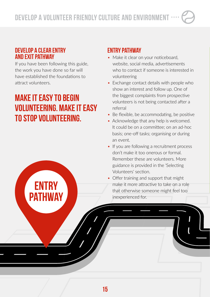### DEVELOP A CLEAR ENTRY AND EXIT PATHWAY

If you have been following this guide, the work you have done so far will have established the foundations to attract volunteers.

### MAKE IT EASY TO BEGIN VOLUNTEERING. MAKE IT EASY TO STOP VOLUNTEERING.

ENTRY

**PATHWAY** 

### ENTRY PATHWAY

- Make it clear on your noticeboard, website, social media, advertisements who to contact if someone is interested in volunteering
- Exchange contact details with people who show an interest and follow up. One of the biggest complaints from prospective volunteers is not being contacted after a referral
- Be flexible, be accommodating, be positive
- Acknowledge that any help is welcomed. It could be on a committee; on an ad-hoc basis; one-off tasks; organising or during an event.
- If you are following a recruitment process don't make it too onerous or formal. Remember these are volunteers. More guidance is provided in the 'Selecting Volunteers' section.
- Offer training and support that might make it more attractive to take on a role that otherwise someone might feel too inexperienced for.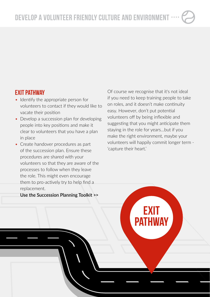16

### EXIT PATHWAY

- Identify the appropriate person for volunteers to contact if they would like to vacate their position
- Develop a succession plan for developing people into key positions and make it clear to volunteers that you have a plan in place
- Create handover procedures as part of the succession plan. Ensure these procedures are shared with your volunteers so that they are aware of the processes to follow when they leave the role. This might even encourage them to pro-actively try to help find a replacement.

**[Use the Succession Planning Toolkit](https://aktive.org.nz/sector-development/managing-your-organisation/volunteer-management/) >>**

Of course we recognise that it's not ideal if you need to keep training people to take on roles, and it doesn't make continuity easy. However, don't put potential volunteers off by being inflexible and suggesting that you might anticipate them staying in the role for years…but if you make the right environment, maybe your volunteers will happily commit longer term - 'capture their heart.'

EXIT

PATHWAY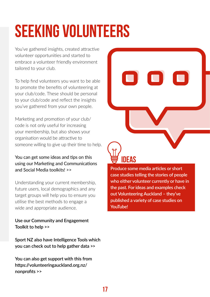### <span id="page-16-0"></span>SEEKING VOLUNTEERS

You've gathered insights, created attractive volunteer opportunities and started to embrace a volunteer friendly environment tailored to your club.

To help find volunteers you want to be able to promote the benefits of volunteering at your club/code. These should be personal to your club/code and reflect the insights you've gathered from your own people.

Marketing and promotion of your club/ code is not only useful for increasing your membership, but also shows your organisation would be attractive to someone willing to give up their time to help.

#### You can get some ideas and tips on this [using our Marketing and Communications](https://aktive.org.nz/sector-development/managing-your-organisation/marketing-and-communications/)  [and Social Media toolkits! >>](https://aktive.org.nz/sector-development/managing-your-organisation/marketing-and-communications/)

Understanding your current membership, future users, local demographics and any target groups will help you to ensure you utilise the best methods to engage a wide and appropriate audience.

**Use our Community and Engagement Toolkit to help [>>](https://aktive.org.nz/sector-development/managing-your-organisation/community-engagement/)**

**[Sport NZ also have Intelligence Tools which](https://sportnz.org.nz/managing-sport/research-and-insights/intelligence-tools/)  [you can check out to help gather data](https://sportnz.org.nz/managing-sport/research-and-insights/intelligence-tools/) >>**

**[You can also get support with this from](https://volunteeringauckland.org.nz/nonprofits)  [https://volunteeringauckland.org.nz/](https://volunteeringauckland.org.nz/nonprofits) [nonprofits >>](https://volunteeringauckland.org.nz/nonprofits)**



**Produce some media articles or short case studies telling the stories of people who either volunteer currently or have in the past. For ideas and examples check out Volunteering Auckland – they've published a variety of case studies on YouTube!**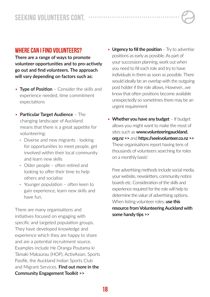#### WHERE CAN I FIND VOLUNTEERS?

**There are a range of ways to promote volunteer opportunities and to pro-actively go out and find volunteers. The approach will vary depending on factors such as:**

- • **Type of Position** Consider the skills and experience needed, time commitment expectations
- **Particular Target Audience** The changing landscape of Auckland means that there is a great appetite for volunteering:
	- Diverse and new migrants looking for opportunities to meet people, get involved within their local community and learn new skills
	- Older people often retired and looking to offer their time to help others and socialise
	- Younger population often keen to gain experience, learn new skills and have fun.

There are many organisations and initiatives focused on engaging with specific and targeted population groups. They have developed knowledge and experience which they are happy to share and are a potential recruitment source. Examples include He Oranga Poutama ki Tāmaki Makaurau (HOP), ActivAsian, Sports Pasifik, the Auckland Indian Sports Club and Migrant Services. **[Find out more in the](https://aktive.org.nz/sector-development/managing-your-organisation/community-engagement/)  [Community Engagement Toolkit >>](https://aktive.org.nz/sector-development/managing-your-organisation/community-engagement/)**

- **Urgency to fill the position** Try to advertise positions as early as possible. As part of your succession planning, work out when you need to fill each role and try to have individuals in them as soon as possible. There would ideally be an overlap with the outgoing post holder if the role allows. However…we know that often positions become available unexpectedly so sometimes there may be an urgent requirement
- **Whether you have any budget** If budget allows you might want to make the most of sites such as **[www.volunteeringauckland.](https://volunteeringauckland.org.nz/) [org.nz >>](https://volunteeringauckland.org.nz/)** and **[https://seekvolunteer.co.nz >>](https://seekvolunteer.co.nz/)** These organisations report having tens of thousands of volunteers searching for roles on a monthly basis!

Free advertising methods include social media, your website, newsletters, community notice boards etc. Consideration of the skills and experience required for the role will help to determine the value of advertising options. When listing volunteer roles, **[use this](https://volunteeringauckland.org.nz/files/tips-for-listing.pdf)  resource [from Volunteering Auckland with](https://volunteeringauckland.org.nz/files/tips-for-listing.pdf)  [some handy](https://volunteeringauckland.org.nz/files/tips-for-listing.pdf) tips >>**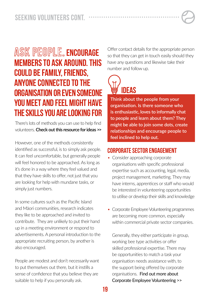### ASK PEOPLE. ENCOURAGE MEMBERS TO ASK AROUND. THIS COULD BE FAMILY, FRIENDS, ANYONE CONNECTED TO THE ORGANISATION OR EVEN SOMEONE YOU MEET AND FEEL MIGHT HAVE THE SKILLS YOU ARE LOOKING FOR

There's lots of methods you can use to help find volunteers. **[Check out this resource for ideas >>](https://aktive.org.nz/sector-development/managing-your-organisation/volunteer-management/)**

However, one of the methods consistently identified as successful, is to simply ask people. It can feel uncomfortable, but generally people will feel honored to be approached. As long as it's done in a way where they feel valued and that they have skills to offer, not just that you are looking for help with mundane tasks, or simply just numbers.

In some cultures such as the Pacific Island and Māori communities, research indicates they like to be approached and invited to contribute. They are unlikely to put their hand up in a meeting environment or respond to advertisements. A personal introduction to the appropriate recruiting person, by another is also encouraged.

People are modest and don't necessarily want to put themselves out there, but it instills a sense of confidence that you believe they are suitable to help if you personally ask.

Offer contact details for the appropriate person so that they can get in touch easily should they have any questions and likewise take their number and follow up.



**Think about the people from your organisation. Is there someone who is enthusiastic, loves to informally chat to people and learn about them? They might be able to join some dots, create relationships and encourage people to feel inclined to help out.**

### CORPORATE SECTOR ENGAGEMENT

- Consider approaching corporate organisations with specific professional expertise such as accounting, legal, media, project management, marketing. They may have interns, apprentices or staff who would be interested in volunteering opportunities to utilise or develop their skills and knowledge
- Corporate Employee Volunteering programmes are becoming more common, especially within commercial private sector companies.

Generally, they either participate in group, working bee type activities or offer skilled professional expertise. There may be opportunities to match a task your organisation needs assistance with, to the support being offered by corporate organisations. [Find out more about](https://aktive.org.nz/sector-development/managing-your-organisation/volunteer-management/)  [Corporate Employee Volunteering >>](https://aktive.org.nz/sector-development/managing-your-organisation/volunteer-management/)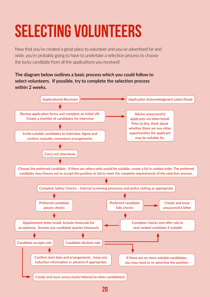### <span id="page-19-0"></span>SELECTING VOLUNTEERS

Now that you've created a great place to volunteer and you've advertised far and wide, you're probably going to have to undertake a selection process to choose the lucky candidate from all the applications you received!

#### **The diagram below outlines a basic process which you could follow to select volunteers. If possible, try to complete the selection process within 2 weeks.**

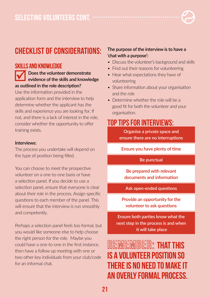

### CHECKLIST OF CONSIDERATIONS:

### SKILLS AND KNOWLEDGE

### **v** Does the volunteer demonstrate<br>
evidence of the skills and knowledge **as outlined in the role description?**

Use the information provided in the application form and the interview to help determine whether the applicant has the skills and experience you are looking for. If not, and there is a lack of interest in the role, consider whether the opportunity to offer training exists.

#### **Interviews:**

The process you undertake will depend on the type of position being filled.

You can choose to meet the prospective volunteer on a one-to-one basis or have a selection panel. If you decide to use a selection panel, ensure that everyone is clear about their role in the process. Assign specific questions to each member of the panel. This will ensure that the interview is run smoothly and competently.

Perhaps a selection panel feels too formal, but you would like someone else to help choose the right person for the role. Maybe you could have a one-to-one in the first instance, then have a follow up meeting with one or two other key individuals from your club/code for an informal chat.

#### **The purpose of the interview is to have a 'chat with a purpose':**

- Discuss the volunteer's background and skills
- Find out their reasons for volunteering
- Hear what expectations they have of volunteering
- Share information about your organisation and the role
- Determine whether the role will be a good fit for both the volunteer and your organisation.

### TOP TIPS FOR INTERVIEWS:

**Organise a private space and ensure there are no interruptions** 

**Ensure you have plenty of time**

#### **Be punctual**

**Be prepared with relevant documents and information**

**Ask open-ended questions**

**Provide an opportunity for the volunteer to ask questions**

**Ensure both parties know what the next step in the process is and when it will take place**

REMEMBER: THAT THIS IS A VOLUNTEER POSITION SO THERE IS NO NEED TO MAKE IT AN OVERLY FORMAL PROCESS.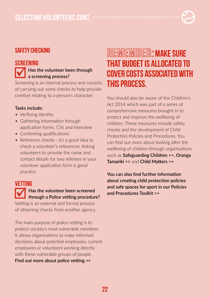### SAFETY CHECKING

#### SCREENING

### **Fig. 3** Has the volunteer been through **a screening process?**

Screening is an internal process and consists of carrying out some checks to help provide comfort relating to a person's character.

#### **Tasks include:**

- Verifying identity
- Gathering information through application forms, CVs and interview
- Confirming qualifications
- Reference checks it's a good idea to check a volunteer's references. Asking volunteers to provide the name and contact details for two referees in your volunteer application form is good practice.

### VETTING þ**Has the volunteer been screened through a Police vetting procedure?**

Vetting is an external and formal process of obtaining checks from another agency.

The main purpose of police vetting is to protect society's most vulnerable members. It allows organisations to make informed decisions about potential employees, current employees or volunteers working directly with these vulnerable groups of people. **[Find out more about police vetting](https://www.police.govt.nz/advice/businesses-and-organisations/vetting) >>**

### REMEMBER: MAKE SURE THAT BUDGET IS ALLOCATED TO COVER COSTS ASSOCIATED WITH THIS PROCESS.

You should also be aware of the Children's Act 2014 which was part of a series of comprehensive measures brought in to protect and improve the wellbeing of children. These measures include safety checks and the development of Child Protection Policies and Procedures. You can find out more about looking after the wellbeing of children through organisations such as **[Safeguarding Children](https://safeguardingchildren.org.nz/) >>, [Oranga](https://www.orangatamariki.govt.nz/)  [Tamariki](https://www.orangatamariki.govt.nz/) >>** and **[Child Matters](http://www.childmatters.org.nz/) >>**

**[You can also find further information](https://aktive.org.nz/sector-development/managing-your-organisation/policies-and-procedures/)  [about creating child protection policies](https://aktive.org.nz/sector-development/managing-your-organisation/policies-and-procedures/)  [and safe spaces for sport in our Policies](https://aktive.org.nz/sector-development/managing-your-organisation/policies-and-procedures/)  [and Procedures Toolkit >>](https://aktive.org.nz/sector-development/managing-your-organisation/policies-and-procedures/)**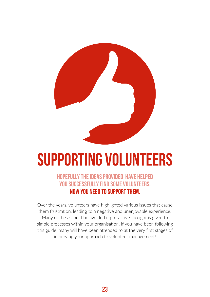<span id="page-22-0"></span>

### Supporting Volunteers

### HOPEFULLY THE IDEAS PROVIDED HAVE HELPED YOU SUCCESSFULLY FIND SOME VOLUNTEERS. NOW YOU NEED TO SUPPORT THEM.

Over the years, volunteers have highlighted various issues that cause them frustration, leading to a negative and unenjoyable experience. Many of these could be avoided if pro-active thought is given to simple processes within your organisation. If you have been following this guide, many will have been attended to at the very first stages of improving your approach to volunteer management!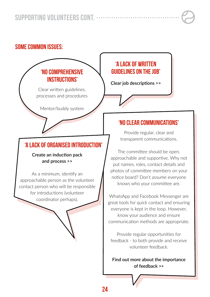### SOME COMMON ISSUES:

### 'NO COMPREHENSIVE INSTRUCTIONS'

Clear written guidelines, processes and procedures

Mentor/buddy system

### 'A LACK OF ORGANISED INTRODUCTION'

#### **[Create an induction pack](https://aktive.org.nz/sector-development/managing-your-organisation/volunteer-management/)  [and process >>](https://aktive.org.nz/sector-development/managing-your-organisation/volunteer-management/)**

As a minimum, identify an approachable person as the volunteer contact person who will be responsible for introductions (volunteer coordinator perhaps).

### 'A LACK OF WRITTEN GUIDELINES ON THE JOB'

**[Clear job descriptions](https://aktive.org.nz/sector-development/managing-your-organisation/volunteer-management/) >>** 

### 'NO CLEAR COMMUNICATIONS'

Provide regular, clear and transparent communications.

The committee should be open, approachable and supportive. Why not put names, roles, contact details and photos of committee members on your notice board? Don't assume everyone knows who your committee are.

WhatsApp and Facebook Messenger are great tools for quick contact and ensuring everyone is kept in the loop. However, know your audience and ensure communication methods are appropriate.

Provide regular opportunities for feedback - to both provide and receive volunteer feedback.

**[Find out more about the importance](https://aktive.org.nz/sector-development/managing-your-organisation/volunteer-management/)  [of feedback >>](https://aktive.org.nz/sector-development/managing-your-organisation/volunteer-management/)**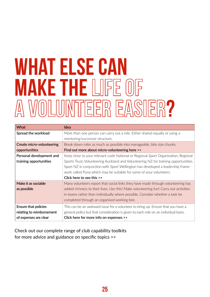### WHAT ELSE CAN **MAKE THE LIFE OF** A WOLUMTEER EASIER?

| <b>What</b>               | Idea                                                                                 |
|---------------------------|--------------------------------------------------------------------------------------|
| Spread the workload       | More than one person can carry out a role. Either shared equally or using a          |
|                           | mentoring/successor structure.                                                       |
| Create micro-volunteering | Break down roles as much as possible into manageable, bite size chunks.              |
| opportunities             | Find out more about micro-volunteering here >>                                       |
| Personal development and  | Keep close to your relevant code National or Regional Sport Organisation, Regional   |
| training opportunities    | Sports Trust, Volunteering Auckland and Volunteering NZ for training opportunities.  |
|                           | Sport NZ in conjunction with Sport Wellington has developed a leadership frame-      |
|                           | work called Puna which may be suitable for some of your volunteers.                  |
|                           | Click here to see this >>                                                            |
| Make it as sociable       | Many volunteers report that social links they have made through volunteering has     |
| as possible               | added richness to their lives. Use this! Make volunteering fun! Carry out activities |
|                           | in teams rather than individually where possible. Consider whether a task be         |
|                           | completed through an organised working bee.                                          |
| Ensure that policies      | This can be an awkward issue for a volunteer to bring up. Ensure that you have a     |
| relating to reimbursement | general policy but that consideration is given to each role on an individual basis.  |
| of expenses are clear     | Click here for more info on expenses >>                                              |

[Check out our complete range of club capability toolkits](https://aktive.org.nz/resources/)  [for more advice and guidance on specific topics](https://aktive.org.nz/resources/) >>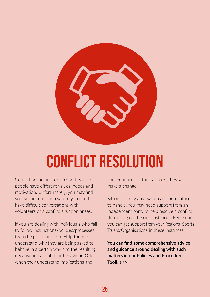<span id="page-25-0"></span>

### Conflict resolution

Conflict occurs in a club/code because people have different values, needs and motivation. Unfortunately, you may find yourself in a position where you need to have difficult conversations with volunteers or a conflict situation arises.

If you are dealing with individuals who fail to follow instructions/policies/processes, try to be polite but firm. Help them to understand why they are being asked to behave in a certain way and the resulting negative impact of their behaviour. Often when they understand implications and

consequences of their actions, they will make a change.

Situations may arise which are more difficult to handle. You may need support from an independent party to help resolve a conflict depending on the circumstances. Remember you can get support from your Regional Sports Trusts/Organisations in these instances.

**[You can find some comprehensive advice](https://aktive.org.nz/sector-development/managing-your-organisation/policies-and-procedures/)  [and guidance around dealing with such](https://aktive.org.nz/sector-development/managing-your-organisation/policies-and-procedures/)  [matters in our Policies and Procedures](https://aktive.org.nz/sector-development/managing-your-organisation/policies-and-procedures/)  [Toolkit >>](https://aktive.org.nz/sector-development/managing-your-organisation/policies-and-procedures/)**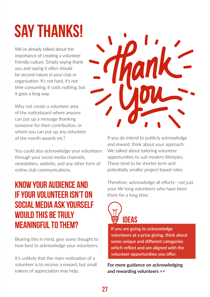### <span id="page-26-0"></span>Say thanks!

We've already talked about the importance of creating a volunteer friendly culture. Simply saying thank you and saying it often should be second nature in your club or organisation. It's not hard, it's not time consuming, it costs nothing, but it goes a long way.

Why not create a volunteer area of the noticeboard where anyone can put up a message thanking someone for their contribution, or where you can put up any volunteer of the month awards etc?

You could also acknowledge your volunteers through your social media channels, newsletters, website, and any other form of online club communications.

### KNOW YOUR AUDIENCE AND IF YOUR VOLUNTEER ISN'T ON SOCIAL MEDIA ASK YOURSELF WOULD THIS BE TRULY MEANINGFUL TO THEM?

Bearing this in mind, give some thought to how best to acknowledge your volunteers.

It's unlikely that the main motivation of a volunteer is to receive a reward, but small tokens of appreciation may help.



If you do intend to publicly acknowledge and reward, think about your approach. We talked about tailoring volunteer opportunities to suit modern lifestyles. These tend to be shorter term and potentially smaller project-based roles.

Therefore, acknowledge all efforts– not just your life-long volunteers who have been there for a long time.



**If you are going to acknowledge volunteers at a prize giving, think about some unique and different categories which reflect and are aligned with the volunteer opportunities you offer.**

**[For more guidance on acknowledging](https://aktive.org.nz/sector-development/managing-your-organisation/volunteer-management/)  [and rewarding volunteers >>](https://aktive.org.nz/sector-development/managing-your-organisation/volunteer-management/)**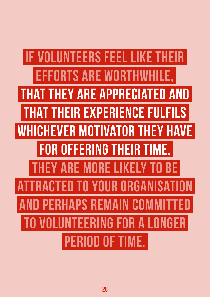IF VOLUNTEERS FEEL LIKE THEIR **EFFORTS ARE WORTHWH** AT THEY ARE APPRECIATED AND **EIR EXPERIENCE FULFILS** WHICHEVER MOTIVATOR THEY HAVE FOR OFFERING THEIR TIME, Y ARE MORE LIKELY TO BE **CTED TO YOUR ORGANISA PERHAPS REMAIN COM LUNTEERING FOR A LONGER** PERIOD OF TIME.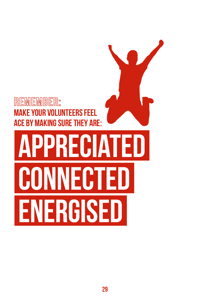